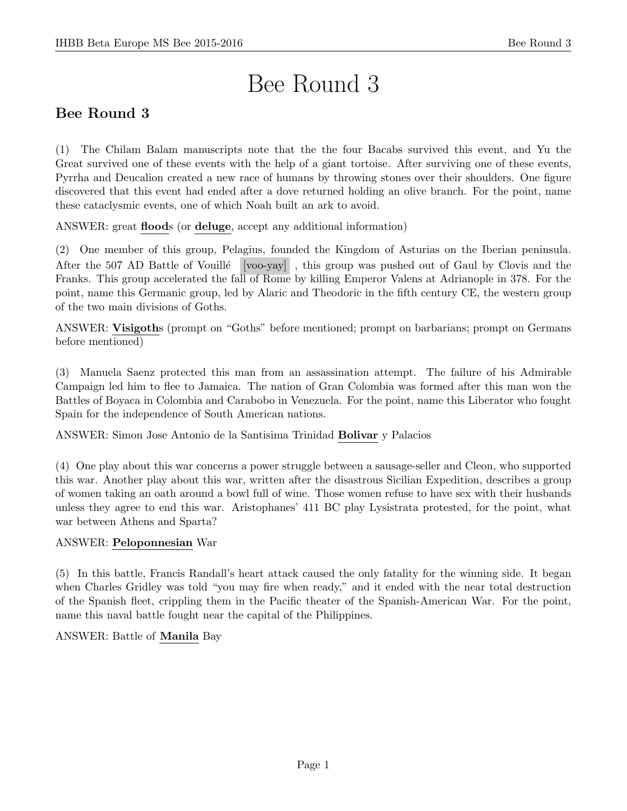# Bee Round 3

# Bee Round 3

(1) The Chilam Balam manuscripts note that the the four Bacabs survived this event, and Yu the Great survived one of these events with the help of a giant tortoise. After surviving one of these events, Pyrrha and Deucalion created a new race of humans by throwing stones over their shoulders. One figure discovered that this event had ended after a dove returned holding an olive branch. For the point, name these cataclysmic events, one of which Noah built an ark to avoid.

ANSWER: great floods (or deluge, accept any additional information)

(2) One member of this group, Pelagius, founded the Kingdom of Asturias on the Iberian peninsula. After the 507 AD Battle of Vouillé [voo-yay], this group was pushed out of Gaul by Clovis and the Franks. This group accelerated the fall of Rome by killing Emperor Valens at Adrianople in 378. For the point, name this Germanic group, led by Alaric and Theodoric in the fifth century CE, the western group of the two main divisions of Goths.

ANSWER: Visigoths (prompt on "Goths" before mentioned; prompt on barbarians; prompt on Germans before mentioned)

(3) Manuela Saenz protected this man from an assassination attempt. The failure of his Admirable Campaign led him to flee to Jamaica. The nation of Gran Colombia was formed after this man won the Battles of Boyaca in Colombia and Carabobo in Venezuela. For the point, name this Liberator who fought Spain for the independence of South American nations.

ANSWER: Simon Jose Antonio de la Santisima Trinidad Bolivar y Palacios

(4) One play about this war concerns a power struggle between a sausage-seller and Cleon, who supported this war. Another play about this war, written after the disastrous Sicilian Expedition, describes a group of women taking an oath around a bowl full of wine. Those women refuse to have sex with their husbands unless they agree to end this war. Aristophanes' 411 BC play Lysistrata protested, for the point, what war between Athens and Sparta?

# ANSWER: Peloponnesian War

(5) In this battle, Francis Randall's heart attack caused the only fatality for the winning side. It began when Charles Gridley was told "you may fire when ready," and it ended with the near total destruction of the Spanish fleet, crippling them in the Pacific theater of the Spanish-American War. For the point, name this naval battle fought near the capital of the Philippines.

# ANSWER: Battle of Manila Bay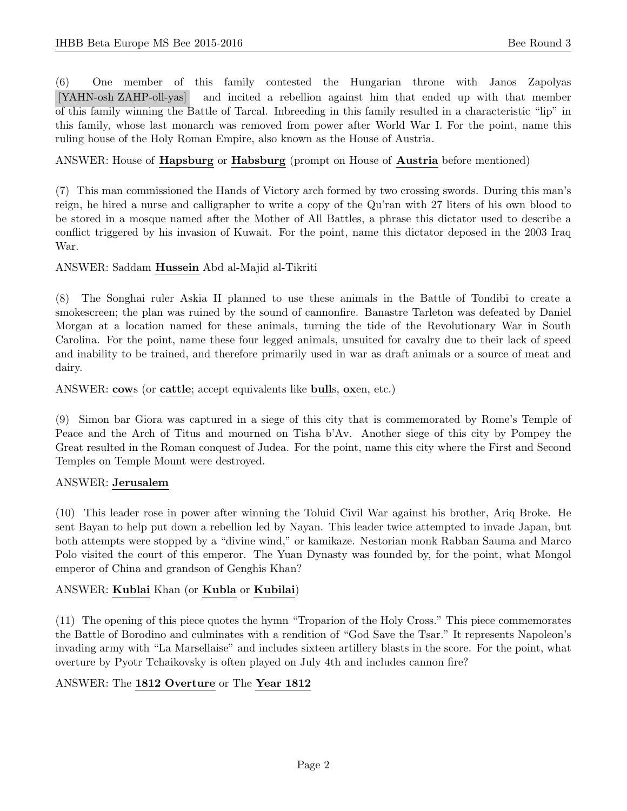(6) One member of this family contested the Hungarian throne with Janos Zapolyas [YAHN-osh ZAHP-oll-yas] and incited a rebellion against him that ended up with that member of this family winning the Battle of Tarcal. Inbreeding in this family resulted in a characteristic "lip" in this family, whose last monarch was removed from power after World War I. For the point, name this ruling house of the Holy Roman Empire, also known as the House of Austria.

# ANSWER: House of Hapsburg or Habsburg (prompt on House of Austria before mentioned)

(7) This man commissioned the Hands of Victory arch formed by two crossing swords. During this man's reign, he hired a nurse and calligrapher to write a copy of the Qu'ran with 27 liters of his own blood to be stored in a mosque named after the Mother of All Battles, a phrase this dictator used to describe a conflict triggered by his invasion of Kuwait. For the point, name this dictator deposed in the 2003 Iraq War.

ANSWER: Saddam Hussein Abd al-Majid al-Tikriti

(8) The Songhai ruler Askia II planned to use these animals in the Battle of Tondibi to create a smokescreen; the plan was ruined by the sound of cannonfire. Banastre Tarleton was defeated by Daniel Morgan at a location named for these animals, turning the tide of the Revolutionary War in South Carolina. For the point, name these four legged animals, unsuited for cavalry due to their lack of speed and inability to be trained, and therefore primarily used in war as draft animals or a source of meat and dairy.

ANSWER: cows (or cattle; accept equivalents like bulls, oxen, etc.)

(9) Simon bar Giora was captured in a siege of this city that is commemorated by Rome's Temple of Peace and the Arch of Titus and mourned on Tisha b'Av. Another siege of this city by Pompey the Great resulted in the Roman conquest of Judea. For the point, name this city where the First and Second Temples on Temple Mount were destroyed.

# ANSWER: Jerusalem

(10) This leader rose in power after winning the Toluid Civil War against his brother, Ariq Broke. He sent Bayan to help put down a rebellion led by Nayan. This leader twice attempted to invade Japan, but both attempts were stopped by a "divine wind," or kamikaze. Nestorian monk Rabban Sauma and Marco Polo visited the court of this emperor. The Yuan Dynasty was founded by, for the point, what Mongol emperor of China and grandson of Genghis Khan?

# ANSWER: Kublai Khan (or Kubla or Kubilai)

(11) The opening of this piece quotes the hymn "Troparion of the Holy Cross." This piece commemorates the Battle of Borodino and culminates with a rendition of "God Save the Tsar." It represents Napoleon's invading army with "La Marsellaise" and includes sixteen artillery blasts in the score. For the point, what overture by Pyotr Tchaikovsky is often played on July 4th and includes cannon fire?

#### ANSWER: The 1812 Overture or The Year 1812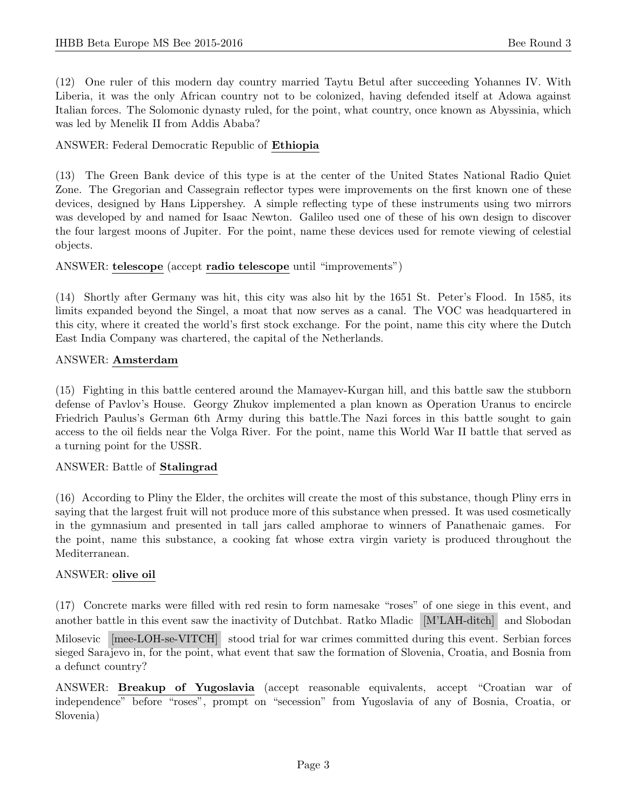(12) One ruler of this modern day country married Taytu Betul after succeeding Yohannes IV. With Liberia, it was the only African country not to be colonized, having defended itself at Adowa against Italian forces. The Solomonic dynasty ruled, for the point, what country, once known as Abyssinia, which was led by Menelik II from Addis Ababa?

#### ANSWER: Federal Democratic Republic of Ethiopia

(13) The Green Bank device of this type is at the center of the United States National Radio Quiet Zone. The Gregorian and Cassegrain reflector types were improvements on the first known one of these devices, designed by Hans Lippershey. A simple reflecting type of these instruments using two mirrors was developed by and named for Isaac Newton. Galileo used one of these of his own design to discover the four largest moons of Jupiter. For the point, name these devices used for remote viewing of celestial objects.

#### ANSWER: telescope (accept radio telescope until "improvements")

(14) Shortly after Germany was hit, this city was also hit by the 1651 St. Peter's Flood. In 1585, its limits expanded beyond the Singel, a moat that now serves as a canal. The VOC was headquartered in this city, where it created the world's first stock exchange. For the point, name this city where the Dutch East India Company was chartered, the capital of the Netherlands.

#### ANSWER: Amsterdam

(15) Fighting in this battle centered around the Mamayev-Kurgan hill, and this battle saw the stubborn defense of Pavlov's House. Georgy Zhukov implemented a plan known as Operation Uranus to encircle Friedrich Paulus's German 6th Army during this battle.The Nazi forces in this battle sought to gain access to the oil fields near the Volga River. For the point, name this World War II battle that served as a turning point for the USSR.

# ANSWER: Battle of Stalingrad

(16) According to Pliny the Elder, the orchites will create the most of this substance, though Pliny errs in saying that the largest fruit will not produce more of this substance when pressed. It was used cosmetically in the gymnasium and presented in tall jars called amphorae to winners of Panathenaic games. For the point, name this substance, a cooking fat whose extra virgin variety is produced throughout the Mediterranean.

# ANSWER: olive oil

(17) Concrete marks were filled with red resin to form namesake "roses" of one siege in this event, and another battle in this event saw the inactivity of Dutchbat. Ratko Mladic [M'LAH-ditch] and Slobodan Milosevic [mee-LOH-se-VITCH] stood trial for war crimes committed during this event. Serbian forces sieged Sarajevo in, for the point, what event that saw the formation of Slovenia, Croatia, and Bosnia from a defunct country?

ANSWER: Breakup of Yugoslavia (accept reasonable equivalents, accept "Croatian war of independence" before "roses", prompt on "secession" from Yugoslavia of any of Bosnia, Croatia, or Slovenia)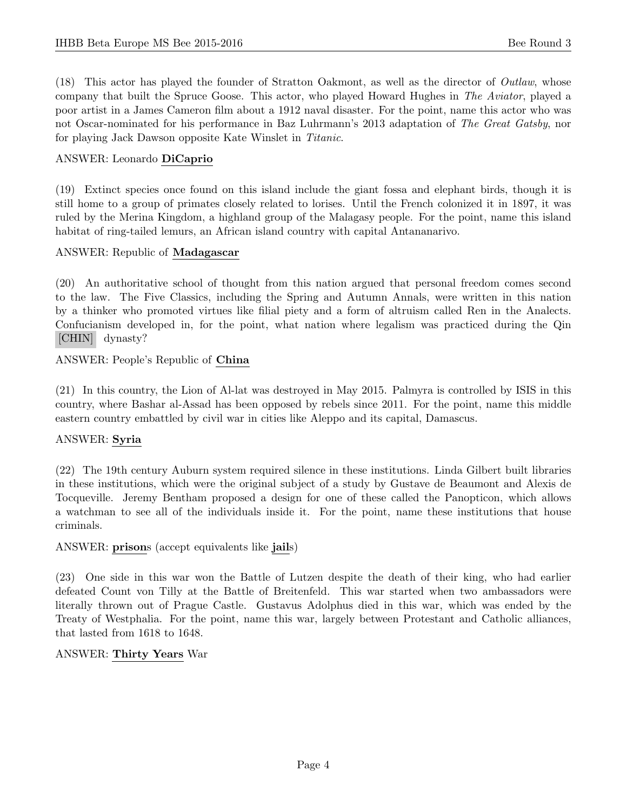(18) This actor has played the founder of Stratton Oakmont, as well as the director of Outlaw, whose company that built the Spruce Goose. This actor, who played Howard Hughes in The Aviator, played a poor artist in a James Cameron film about a 1912 naval disaster. For the point, name this actor who was not Oscar-nominated for his performance in Baz Luhrmann's 2013 adaptation of The Great Gatsby, nor for playing Jack Dawson opposite Kate Winslet in Titanic.

#### ANSWER: Leonardo DiCaprio

(19) Extinct species once found on this island include the giant fossa and elephant birds, though it is still home to a group of primates closely related to lorises. Until the French colonized it in 1897, it was ruled by the Merina Kingdom, a highland group of the Malagasy people. For the point, name this island habitat of ring-tailed lemurs, an African island country with capital Antananarivo.

#### ANSWER: Republic of Madagascar

(20) An authoritative school of thought from this nation argued that personal freedom comes second to the law. The Five Classics, including the Spring and Autumn Annals, were written in this nation by a thinker who promoted virtues like filial piety and a form of altruism called Ren in the Analects. Confucianism developed in, for the point, what nation where legalism was practiced during the Qin [CHIN] dynasty?

ANSWER: People's Republic of China

(21) In this country, the Lion of Al-lat was destroyed in May 2015. Palmyra is controlled by ISIS in this country, where Bashar al-Assad has been opposed by rebels since 2011. For the point, name this middle eastern country embattled by civil war in cities like Aleppo and its capital, Damascus.

# ANSWER: Syria

(22) The 19th century Auburn system required silence in these institutions. Linda Gilbert built libraries in these institutions, which were the original subject of a study by Gustave de Beaumont and Alexis de Tocqueville. Jeremy Bentham proposed a design for one of these called the Panopticon, which allows a watchman to see all of the individuals inside it. For the point, name these institutions that house criminals.

# ANSWER: prisons (accept equivalents like jails)

(23) One side in this war won the Battle of Lutzen despite the death of their king, who had earlier defeated Count von Tilly at the Battle of Breitenfeld. This war started when two ambassadors were literally thrown out of Prague Castle. Gustavus Adolphus died in this war, which was ended by the Treaty of Westphalia. For the point, name this war, largely between Protestant and Catholic alliances, that lasted from 1618 to 1648.

#### ANSWER: Thirty Years War